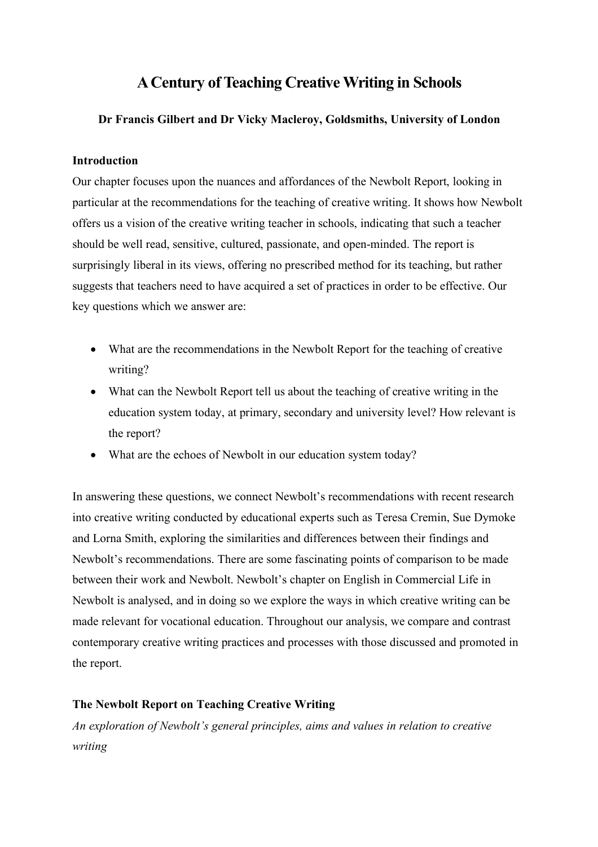# **A Century of Teaching Creative Writing in Schools**

## **Dr Francis Gilbert and Dr Vicky Macleroy, Goldsmiths, University of London**

### **Introduction**

Our chapter focuses upon the nuances and affordances of the Newbolt Report, looking in particular at the recommendations for the teaching of creative writing. It shows how Newbolt offers us a vision of the creative writing teacher in schools, indicating that such a teacher should be well read, sensitive, cultured, passionate, and open-minded. The report is surprisingly liberal in its views, offering no prescribed method for its teaching, but rather suggests that teachers need to have acquired a set of practices in order to be effective. Our key questions which we answer are:

- What are the recommendations in the Newbolt Report for the teaching of creative writing?
- What can the Newbolt Report tell us about the teaching of creative writing in the education system today, at primary, secondary and university level? How relevant is the report?
- What are the echoes of Newbolt in our education system today?

In answering these questions, we connect Newbolt's recommendations with recent research into creative writing conducted by educational experts such as Teresa Cremin, Sue Dymoke and Lorna Smith, exploring the similarities and differences between their findings and Newbolt's recommendations. There are some fascinating points of comparison to be made between their work and Newbolt. Newbolt's chapter on English in Commercial Life in Newbolt is analysed, and in doing so we explore the ways in which creative writing can be made relevant for vocational education. Throughout our analysis, we compare and contrast contemporary creative writing practices and processes with those discussed and promoted in the report.

## **The Newbolt Report on Teaching Creative Writing**

*An exploration of Newbolt's general principles, aims and values in relation to creative writing*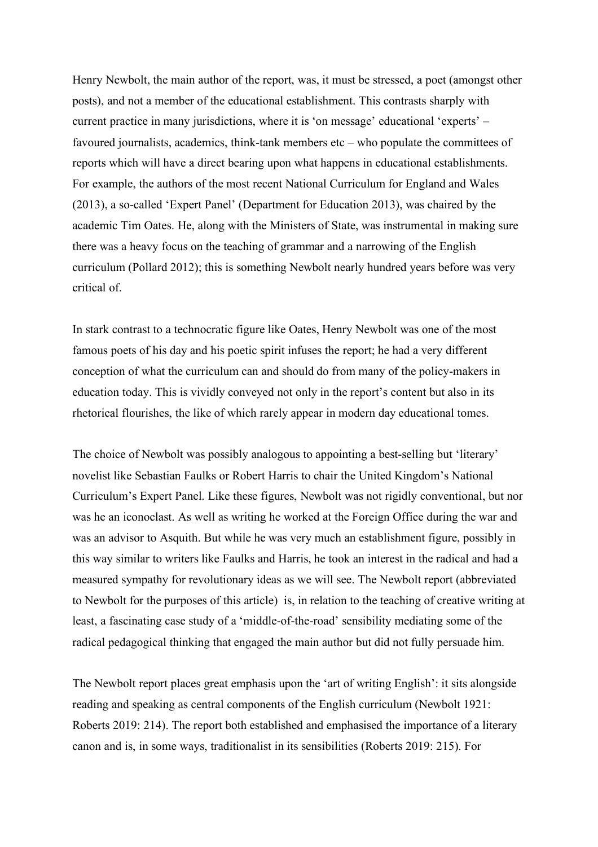Henry Newbolt, the main author of the report, was, it must be stressed, a poet (amongst other posts), and not a member of the educational establishment. This contrasts sharply with current practice in many jurisdictions, where it is 'on message' educational 'experts' – favoured journalists, academics, think-tank members etc – who populate the committees of reports which will have a direct bearing upon what happens in educational establishments. For example, the authors of the most recent National Curriculum for England and Wales (2013), a so-called 'Expert Panel' (Department for Education 2013), was chaired by the academic Tim Oates. He, along with the Ministers of State, was instrumental in making sure there was a heavy focus on the teaching of grammar and a narrowing of the English curriculum (Pollard 2012); this is something Newbolt nearly hundred years before was very critical of.

In stark contrast to a technocratic figure like Oates, Henry Newbolt was one of the most famous poets of his day and his poetic spirit infuses the report; he had a very different conception of what the curriculum can and should do from many of the policy-makers in education today. This is vividly conveyed not only in the report's content but also in its rhetorical flourishes, the like of which rarely appear in modern day educational tomes.

The choice of Newbolt was possibly analogous to appointing a best-selling but 'literary' novelist like Sebastian Faulks or Robert Harris to chair the United Kingdom's National Curriculum's Expert Panel. Like these figures, Newbolt was not rigidly conventional, but nor was he an iconoclast. As well as writing he worked at the Foreign Office during the war and was an advisor to Asquith. But while he was very much an establishment figure, possibly in this way similar to writers like Faulks and Harris, he took an interest in the radical and had a measured sympathy for revolutionary ideas as we will see. The Newbolt report (abbreviated to Newbolt for the purposes of this article) is, in relation to the teaching of creative writing at least, a fascinating case study of a 'middle-of-the-road' sensibility mediating some of the radical pedagogical thinking that engaged the main author but did not fully persuade him.

The Newbolt report places great emphasis upon the 'art of writing English': it sits alongside reading and speaking as central components of the English curriculum (Newbolt 1921: Roberts 2019: 214). The report both established and emphasised the importance of a literary canon and is, in some ways, traditionalist in its sensibilities (Roberts 2019: 215). For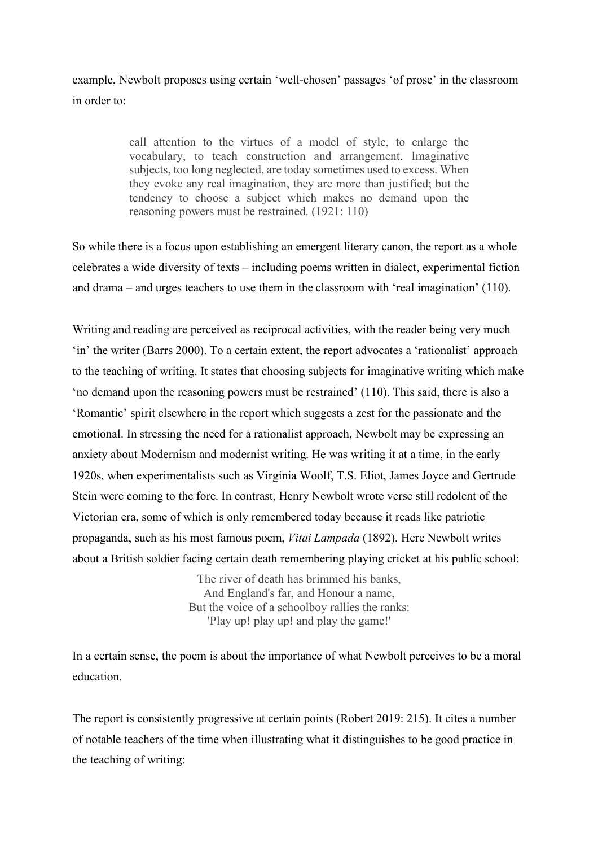example, Newbolt proposes using certain 'well-chosen' passages 'of prose' in the classroom in order to:

> call attention to the virtues of a model of style, to enlarge the vocabulary, to teach construction and arrangement. Imaginative subjects, too long neglected, are today sometimes used to excess. When they evoke any real imagination, they are more than justified; but the tendency to choose a subject which makes no demand upon the reasoning powers must be restrained. (1921: 110)

So while there is a focus upon establishing an emergent literary canon, the report as a whole celebrates a wide diversity of texts – including poems written in dialect, experimental fiction and drama – and urges teachers to use them in the classroom with 'real imagination' (110).

Writing and reading are perceived as reciprocal activities, with the reader being very much 'in' the writer (Barrs 2000). To a certain extent, the report advocates a 'rationalist' approach to the teaching of writing. It states that choosing subjects for imaginative writing which make 'no demand upon the reasoning powers must be restrained' (110). This said, there is also a 'Romantic' spirit elsewhere in the report which suggests a zest for the passionate and the emotional. In stressing the need for a rationalist approach, Newbolt may be expressing an anxiety about Modernism and modernist writing. He was writing it at a time, in the early 1920s, when experimentalists such as Virginia Woolf, T.S. Eliot, James Joyce and Gertrude Stein were coming to the fore. In contrast, Henry Newbolt wrote verse still redolent of the Victorian era, some of which is only remembered today because it reads like patriotic propaganda, such as his most famous poem, *Vitai Lampada* (1892). Here Newbolt writes about a British soldier facing certain death remembering playing cricket at his public school:

> The river of death has brimmed his banks, And England's far, and Honour a name, But the voice of a schoolboy rallies the ranks: 'Play up! play up! and play the game!'

In a certain sense, the poem is about the importance of what Newbolt perceives to be a moral education.

The report is consistently progressive at certain points (Robert 2019: 215). It cites a number of notable teachers of the time when illustrating what it distinguishes to be good practice in the teaching of writing: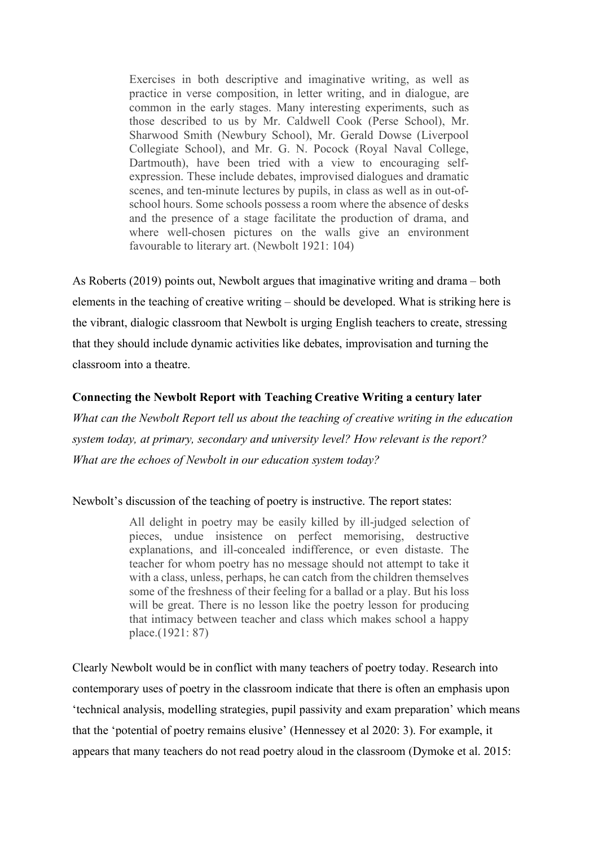Exercises in both descriptive and imaginative writing, as well as practice in verse composition, in letter writing, and in dialogue, are common in the early stages. Many interesting experiments, such as those described to us by Mr. Caldwell Cook (Perse School), Mr. Sharwood Smith (Newbury School), Mr. Gerald Dowse (Liverpool Collegiate School), and Mr. G. N. Pocock (Royal Naval College, Dartmouth), have been tried with a view to encouraging selfexpression. These include debates, improvised dialogues and dramatic scenes, and ten-minute lectures by pupils, in class as well as in out-ofschool hours. Some schools possess a room where the absence of desks and the presence of a stage facilitate the production of drama, and where well-chosen pictures on the walls give an environment favourable to literary art. (Newbolt 1921: 104)

As Roberts (2019) points out, Newbolt argues that imaginative writing and drama – both elements in the teaching of creative writing – should be developed. What is striking here is the vibrant, dialogic classroom that Newbolt is urging English teachers to create, stressing that they should include dynamic activities like debates, improvisation and turning the classroom into a theatre.

#### **Connecting the Newbolt Report with Teaching Creative Writing a century later**

*What can the Newbolt Report tell us about the teaching of creative writing in the education system today, at primary, secondary and university level? How relevant is the report? What are the echoes of Newbolt in our education system today?*

#### Newbolt's discussion of the teaching of poetry is instructive. The report states:

All delight in poetry may be easily killed by ill-judged selection of pieces, undue insistence on perfect memorising, destructive explanations, and ill-concealed indifference, or even distaste. The teacher for whom poetry has no message should not attempt to take it with a class, unless, perhaps, he can catch from the children themselves some of the freshness of their feeling for a ballad or a play. But his loss will be great. There is no lesson like the poetry lesson for producing that intimacy between teacher and class which makes school a happy place.(1921: 87)

Clearly Newbolt would be in conflict with many teachers of poetry today. Research into contemporary uses of poetry in the classroom indicate that there is often an emphasis upon 'technical analysis, modelling strategies, pupil passivity and exam preparation' which means that the 'potential of poetry remains elusive' (Hennessey et al 2020: 3). For example, it appears that many teachers do not read poetry aloud in the classroom (Dymoke et al. 2015: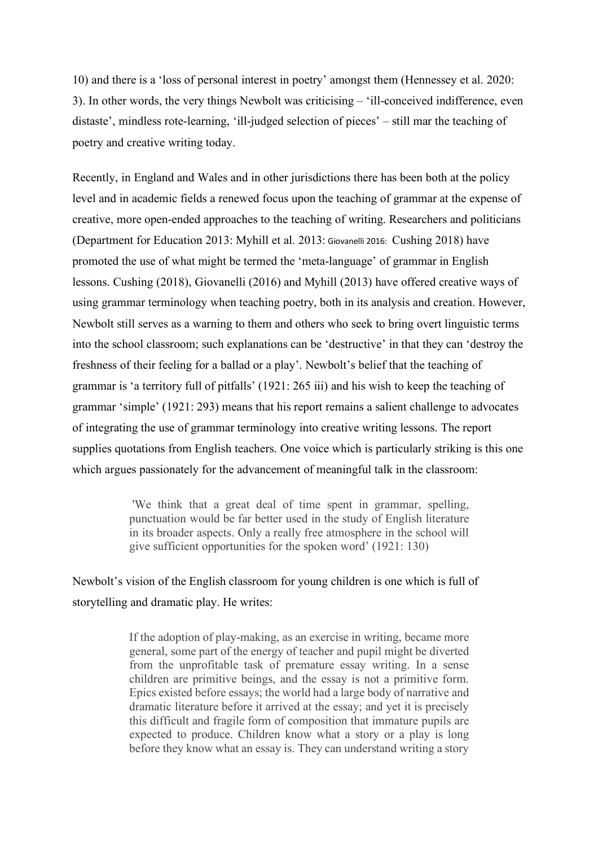10) and there is a 'loss of personal interest in poetry' amongst them (Hennessey et al. 2020: 3). In other words, the very things Newbolt was criticising – 'ill-conceived indifference, even distaste', mindless rote-learning, 'ill-judged selection of pieces' – still mar the teaching of poetry and creative writing today.

Recently, in England and Wales and in other jurisdictions there has been both at the policy level and in academic fields a renewed focus upon the teaching of grammar at the expense of creative, more open-ended approaches to the teaching of writing. Researchers and politicians (Department for Education 2013: Myhill et al. 2013: Giovanelli 2016: Cushing 2018) have promoted the use of what might be termed the 'meta-language' of grammar in English lessons. Cushing (2018), Giovanelli (2016) and Myhill (2013) have offered creative ways of using grammar terminology when teaching poetry, both in its analysis and creation. However, Newbolt still serves as a warning to them and others who seek to bring overt linguistic terms into the school classroom; such explanations can be 'destructive' in that they can 'destroy the freshness of their feeling for a ballad or a play'. Newbolt's belief that the teaching of grammar is 'a territory full of pitfalls' (1921: 265 iii) and his wish to keep the teaching of grammar 'simple' (1921: 293) means that his report remains a salient challenge to advocates of integrating the use of grammar terminology into creative writing lessons. The report supplies quotations from English teachers. One voice which is particularly striking is this one which argues passionately for the advancement of meaningful talk in the classroom:

> 'We think that a great deal of time spent in grammar, spelling, punctuation would be far better used in the study of English literature in its broader aspects. Only a really free atmosphere in the school will give sufficient opportunities for the spoken word' (1921: 130)

Newbolt's vision of the English classroom for young children is one which is full of storytelling and dramatic play. He writes:

> If the adoption of play-making, as an exercise in writing, became more general, some part of the energy of teacher and pupil might be diverted from the unprofitable task of premature essay writing. In a sense children are primitive beings, and the essay is not a primitive form. Epics existed before essays; the world had a large body of narrative and dramatic literature before it arrived at the essay; and yet it is precisely this difficult and fragile form of composition that immature pupils are expected to produce. Children know what a story or a play is long before they know what an essay is. They can understand writing a story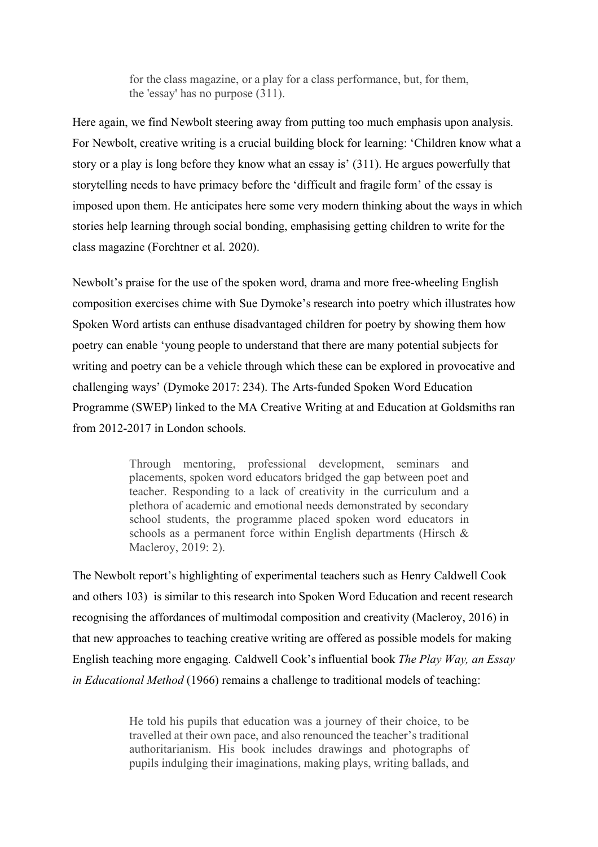for the class magazine, or a play for a class performance, but, for them, the 'essay' has no purpose (311).

Here again, we find Newbolt steering away from putting too much emphasis upon analysis. For Newbolt, creative writing is a crucial building block for learning: 'Children know what a story or a play is long before they know what an essay is' (311). He argues powerfully that storytelling needs to have primacy before the 'difficult and fragile form' of the essay is imposed upon them. He anticipates here some very modern thinking about the ways in which stories help learning through social bonding, emphasising getting children to write for the class magazine (Forchtner et al. 2020).

Newbolt's praise for the use of the spoken word, drama and more free-wheeling English composition exercises chime with Sue Dymoke's research into poetry which illustrates how Spoken Word artists can enthuse disadvantaged children for poetry by showing them how poetry can enable 'young people to understand that there are many potential subjects for writing and poetry can be a vehicle through which these can be explored in provocative and challenging ways' (Dymoke 2017: 234). The Arts-funded Spoken Word Education Programme (SWEP) linked to the MA Creative Writing at and Education at Goldsmiths ran from 2012-2017 in London schools.

> Through mentoring, professional development, seminars and placements, spoken word educators bridged the gap between poet and teacher. Responding to a lack of creativity in the curriculum and a plethora of academic and emotional needs demonstrated by secondary school students, the programme placed spoken word educators in schools as a permanent force within English departments (Hirsch & Macleroy, 2019: 2).

The Newbolt report's highlighting of experimental teachers such as Henry Caldwell Cook and others 103) is similar to this research into Spoken Word Education and recent research recognising the affordances of multimodal composition and creativity (Macleroy, 2016) in that new approaches to teaching creative writing are offered as possible models for making English teaching more engaging. Caldwell Cook's influential book *The Play Way, an Essay in Educational Method* (1966) remains a challenge to traditional models of teaching:

> He told his pupils that education was a journey of their choice, to be travelled at their own pace, and also renounced the teacher's traditional authoritarianism. His book includes drawings and photographs of pupils indulging their imaginations, making plays, writing ballads, and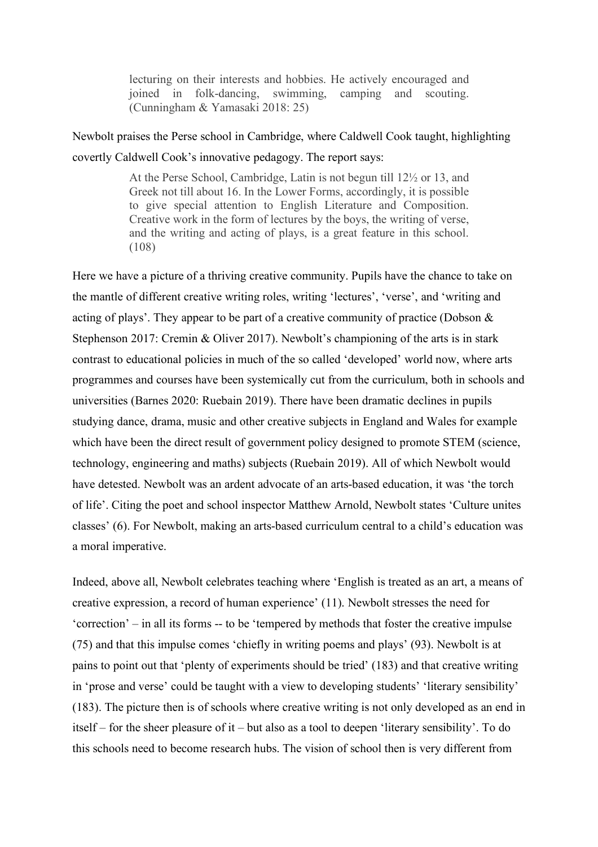lecturing on their interests and hobbies. He actively encouraged and joined in folk-dancing, swimming, camping and scouting. (Cunningham & Yamasaki 2018: 25)

Newbolt praises the Perse school in Cambridge, where Caldwell Cook taught, highlighting covertly Caldwell Cook's innovative pedagogy. The report says:

> At the Perse School, Cambridge, Latin is not begun till 12½ or 13, and Greek not till about 16. In the Lower Forms, accordingly, it is possible to give special attention to English Literature and Composition. Creative work in the form of lectures by the boys, the writing of verse, and the writing and acting of plays, is a great feature in this school. (108)

Here we have a picture of a thriving creative community. Pupils have the chance to take on the mantle of different creative writing roles, writing 'lectures', 'verse', and 'writing and acting of plays'. They appear to be part of a creative community of practice (Dobson & Stephenson 2017: Cremin & Oliver 2017). Newbolt's championing of the arts is in stark contrast to educational policies in much of the so called 'developed' world now, where arts programmes and courses have been systemically cut from the curriculum, both in schools and universities (Barnes 2020: Ruebain 2019). There have been dramatic declines in pupils studying dance, drama, music and other creative subjects in England and Wales for example which have been the direct result of government policy designed to promote STEM (science, technology, engineering and maths) subjects (Ruebain 2019). All of which Newbolt would have detested. Newbolt was an ardent advocate of an arts-based education, it was 'the torch of life'. Citing the poet and school inspector Matthew Arnold, Newbolt states 'Culture unites classes' (6). For Newbolt, making an arts-based curriculum central to a child's education was a moral imperative.

Indeed, above all, Newbolt celebrates teaching where 'English is treated as an art, a means of creative expression, a record of human experience' (11). Newbolt stresses the need for 'correction' – in all its forms -- to be 'tempered by methods that foster the creative impulse (75) and that this impulse comes 'chiefly in writing poems and plays' (93). Newbolt is at pains to point out that 'plenty of experiments should be tried' (183) and that creative writing in 'prose and verse' could be taught with a view to developing students' 'literary sensibility' (183). The picture then is of schools where creative writing is not only developed as an end in itself – for the sheer pleasure of it – but also as a tool to deepen 'literary sensibility'. To do this schools need to become research hubs. The vision of school then is very different from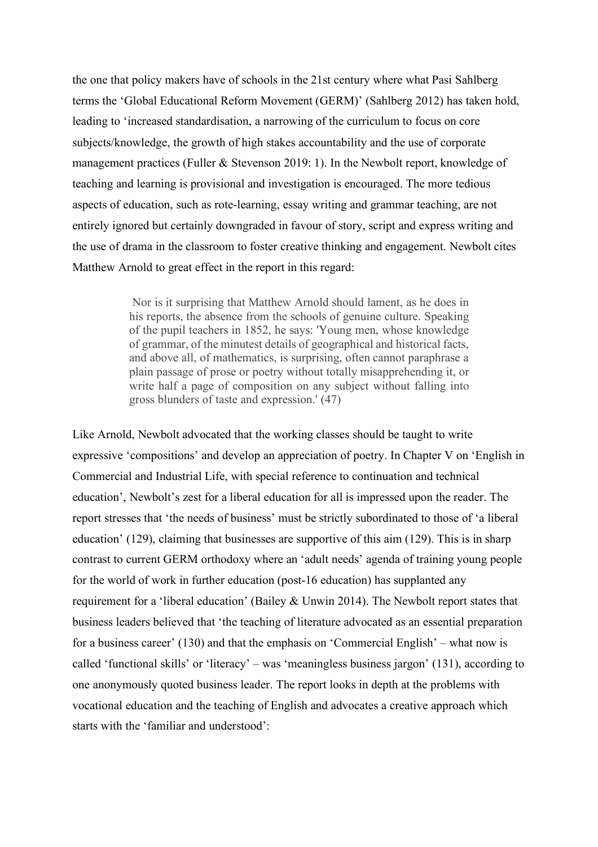the one that policy makers have of schools in the 21st century where what Pasi Sahlberg terms the 'Global Educational Reform Movement (GERM)' (Sahlberg 2012) has taken hold, leading to 'increased standardisation, a narrowing of the curriculum to focus on core subjects/knowledge, the growth of high stakes accountability and the use of corporate management practices (Fuller & Stevenson 2019: 1). In the Newbolt report, knowledge of teaching and learning is provisional and investigation is encouraged. The more tedious aspects of education, such as rote-learning, essay writing and grammar teaching, are not entirely ignored but certainly downgraded in favour of story, script and express writing and the use of drama in the classroom to foster creative thinking and engagement. Newbolt cites Matthew Arnold to great effect in the report in this regard:

> Nor is it surprising that Matthew Arnold should lament, as he does in his reports, the absence from the schools of genuine culture. Speaking of the pupil teachers in 1852, he says: 'Young men, whose knowledge of grammar, of the minutest details of geographical and historical facts, and above all, of mathematics, is surprising, often cannot paraphrase a plain passage of prose or poetry without totally misapprehending it, or write half a page of composition on any subject without falling into gross blunders of taste and expression.' (47)

Like Arnold, Newbolt advocated that the working classes should be taught to write expressive 'compositions' and develop an appreciation of poetry. In Chapter V on 'English in Commercial and Industrial Life, with special reference to continuation and technical education', Newbolt's zest for a liberal education for all is impressed upon the reader. The report stresses that 'the needs of business' must be strictly subordinated to those of 'a liberal education' (129), claiming that businesses are supportive of this aim (129). This is in sharp contrast to current GERM orthodoxy where an 'adult needs' agenda of training young people for the world of work in further education (post-16 education) has supplanted any requirement for a 'liberal education' (Bailey & Unwin 2014). The Newbolt report states that business leaders believed that 'the teaching of literature advocated as an essential preparation for a business career' (130) and that the emphasis on 'Commercial English' – what now is called 'functional skills' or 'literacy' – was 'meaningless business jargon' (131), according to one anonymously quoted business leader. The report looks in depth at the problems with vocational education and the teaching of English and advocates a creative approach which starts with the 'familiar and understood':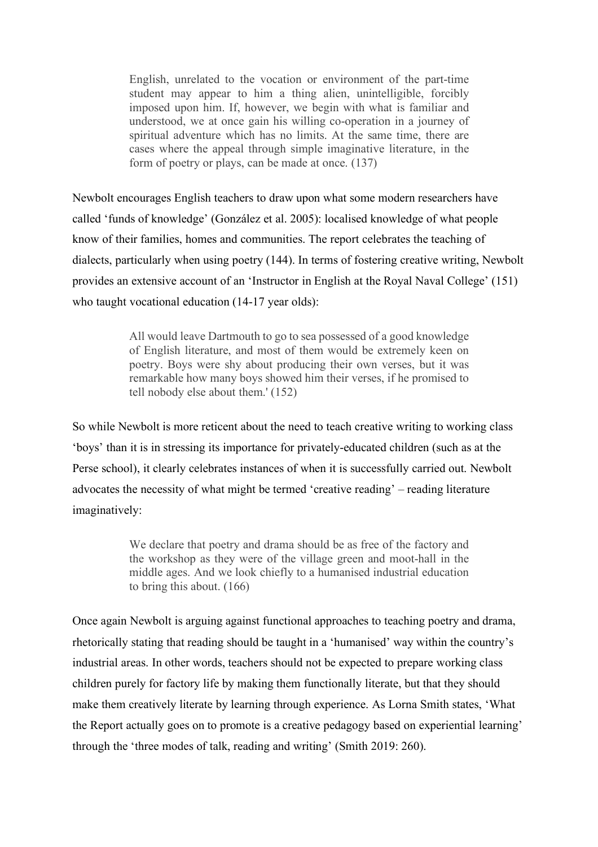English, unrelated to the vocation or environment of the part-time student may appear to him a thing alien, unintelligible, forcibly imposed upon him. If, however, we begin with what is familiar and understood, we at once gain his willing co-operation in a journey of spiritual adventure which has no limits. At the same time, there are cases where the appeal through simple imaginative literature, in the form of poetry or plays, can be made at once. (137)

Newbolt encourages English teachers to draw upon what some modern researchers have called 'funds of knowledge' (González et al. 2005): localised knowledge of what people know of their families, homes and communities. The report celebrates the teaching of dialects, particularly when using poetry (144). In terms of fostering creative writing, Newbolt provides an extensive account of an 'Instructor in English at the Royal Naval College' (151) who taught vocational education (14-17 year olds):

> All would leave Dartmouth to go to sea possessed of a good knowledge of English literature, and most of them would be extremely keen on poetry. Boys were shy about producing their own verses, but it was remarkable how many boys showed him their verses, if he promised to tell nobody else about them.' (152)

So while Newbolt is more reticent about the need to teach creative writing to working class 'boys' than it is in stressing its importance for privately-educated children (such as at the Perse school), it clearly celebrates instances of when it is successfully carried out. Newbolt advocates the necessity of what might be termed 'creative reading' – reading literature imaginatively:

> We declare that poetry and drama should be as free of the factory and the workshop as they were of the village green and moot-hall in the middle ages. And we look chiefly to a humanised industrial education to bring this about. (166)

Once again Newbolt is arguing against functional approaches to teaching poetry and drama, rhetorically stating that reading should be taught in a 'humanised' way within the country's industrial areas. In other words, teachers should not be expected to prepare working class children purely for factory life by making them functionally literate, but that they should make them creatively literate by learning through experience. As Lorna Smith states, 'What the Report actually goes on to promote is a creative pedagogy based on experiential learning' through the 'three modes of talk, reading and writing' (Smith 2019: 260).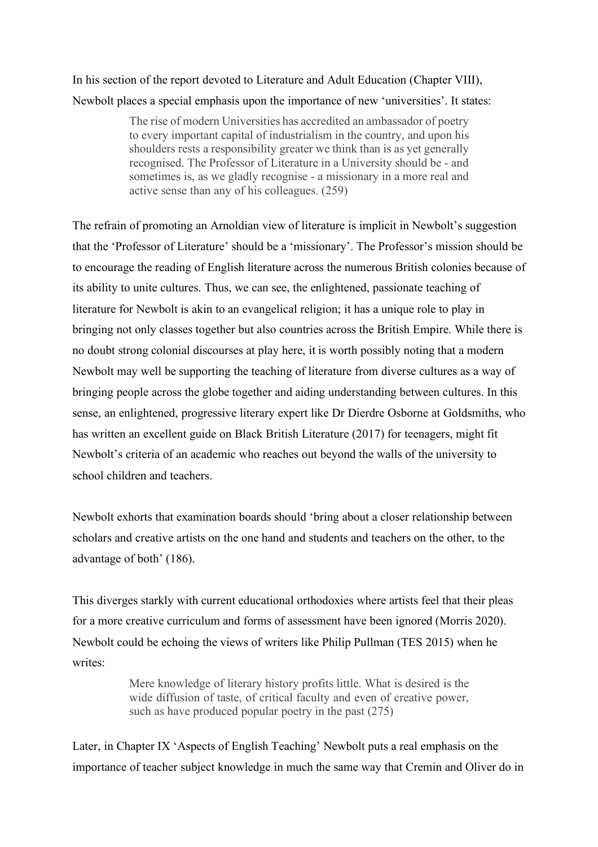In his section of the report devoted to Literature and Adult Education (Chapter VIII), Newbolt places a special emphasis upon the importance of new 'universities'. It states:

> The rise of modern Universities has accredited an ambassador of poetry to every important capital of industrialism in the country, and upon his shoulders rests a responsibility greater we think than is as yet generally recognised. The Professor of Literature in a University should be - and sometimes is, as we gladly recognise - a missionary in a more real and active sense than any of his colleagues. (259)

The refrain of promoting an Arnoldian view of literature is implicit in Newbolt's suggestion that the 'Professor of Literature' should be a 'missionary'. The Professor's mission should be to encourage the reading of English literature across the numerous British colonies because of its ability to unite cultures. Thus, we can see, the enlightened, passionate teaching of literature for Newbolt is akin to an evangelical religion; it has a unique role to play in bringing not only classes together but also countries across the British Empire. While there is no doubt strong colonial discourses at play here, it is worth possibly noting that a modern Newbolt may well be supporting the teaching of literature from diverse cultures as a way of bringing people across the globe together and aiding understanding between cultures. In this sense, an enlightened, progressive literary expert like Dr Dierdre Osborne at Goldsmiths, who has written an excellent guide on Black British Literature (2017) for teenagers, might fit Newbolt's criteria of an academic who reaches out beyond the walls of the university to school children and teachers.

Newbolt exhorts that examination boards should 'bring about a closer relationship between scholars and creative artists on the one hand and students and teachers on the other, to the advantage of both' (186).

This diverges starkly with current educational orthodoxies where artists feel that their pleas for a more creative curriculum and forms of assessment have been ignored (Morris 2020). Newbolt could be echoing the views of writers like Philip Pullman (TES 2015) when he writes:

> Mere knowledge of literary history profits little. What is desired is the wide diffusion of taste, of critical faculty and even of creative power, such as have produced popular poetry in the past (275)

Later, in Chapter IX 'Aspects of English Teaching' Newbolt puts a real emphasis on the importance of teacher subject knowledge in much the same way that Cremin and Oliver do in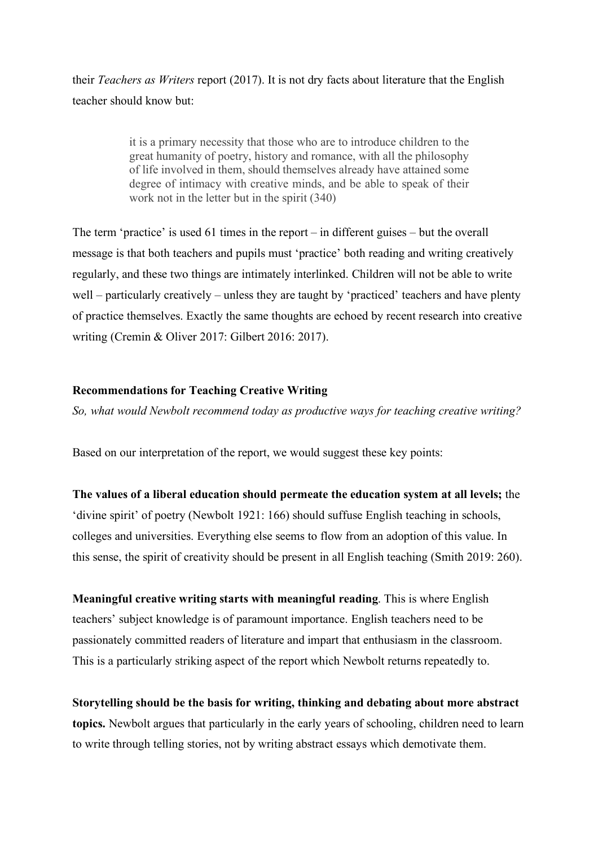their *Teachers as Writers* report (2017). It is not dry facts about literature that the English teacher should know but:

> it is a primary necessity that those who are to introduce children to the great humanity of poetry, history and romance, with all the philosophy of life involved in them, should themselves already have attained some degree of intimacy with creative minds, and be able to speak of their work not in the letter but in the spirit (340)

The term 'practice' is used 61 times in the report – in different guises – but the overall message is that both teachers and pupils must 'practice' both reading and writing creatively regularly, and these two things are intimately interlinked. Children will not be able to write well – particularly creatively – unless they are taught by 'practiced' teachers and have plenty of practice themselves. Exactly the same thoughts are echoed by recent research into creative writing (Cremin & Oliver 2017: Gilbert 2016: 2017).

### **Recommendations for Teaching Creative Writing**

*So, what would Newbolt recommend today as productive ways for teaching creative writing?* 

Based on our interpretation of the report, we would suggest these key points:

**The values of a liberal education should permeate the education system at all levels;** the 'divine spirit' of poetry (Newbolt 1921: 166) should suffuse English teaching in schools, colleges and universities. Everything else seems to flow from an adoption of this value. In this sense, the spirit of creativity should be present in all English teaching (Smith 2019: 260).

**Meaningful creative writing starts with meaningful reading**. This is where English teachers' subject knowledge is of paramount importance. English teachers need to be passionately committed readers of literature and impart that enthusiasm in the classroom. This is a particularly striking aspect of the report which Newbolt returns repeatedly to.

**Storytelling should be the basis for writing, thinking and debating about more abstract topics.** Newbolt argues that particularly in the early years of schooling, children need to learn to write through telling stories, not by writing abstract essays which demotivate them.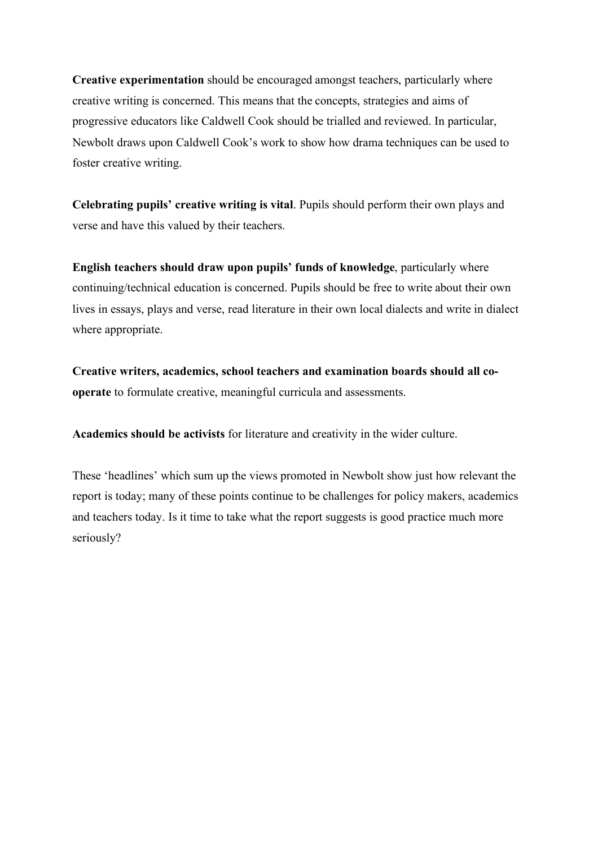**Creative experimentation** should be encouraged amongst teachers, particularly where creative writing is concerned. This means that the concepts, strategies and aims of progressive educators like Caldwell Cook should be trialled and reviewed. In particular, Newbolt draws upon Caldwell Cook's work to show how drama techniques can be used to foster creative writing.

**Celebrating pupils' creative writing is vital**. Pupils should perform their own plays and verse and have this valued by their teachers.

**English teachers should draw upon pupils' funds of knowledge**, particularly where continuing/technical education is concerned. Pupils should be free to write about their own lives in essays, plays and verse, read literature in their own local dialects and write in dialect where appropriate.

**Creative writers, academics, school teachers and examination boards should all cooperate** to formulate creative, meaningful curricula and assessments.

**Academics should be activists** for literature and creativity in the wider culture.

These 'headlines' which sum up the views promoted in Newbolt show just how relevant the report is today; many of these points continue to be challenges for policy makers, academics and teachers today. Is it time to take what the report suggests is good practice much more seriously?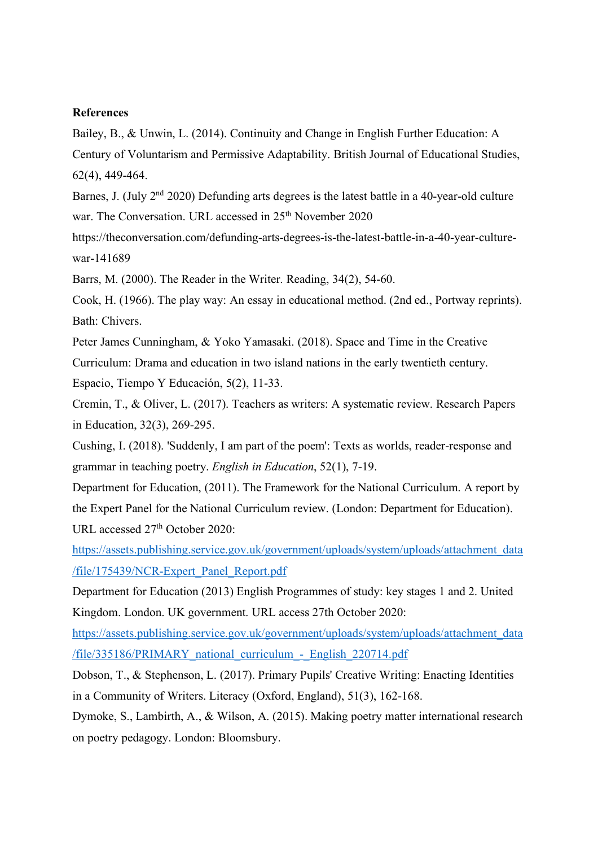#### **References**

Bailey, B., & Unwin, L. (2014). Continuity and Change in English Further Education: A Century of Voluntarism and Permissive Adaptability. British Journal of Educational Studies, 62(4), 449-464.

Barnes, J. (July  $2<sup>nd</sup> 2020$ ) Defunding arts degrees is the latest battle in a 40-year-old culture war. The Conversation. URL accessed in 25<sup>th</sup> November 2020

https://theconversation.com/defunding-arts-degrees-is-the-latest-battle-in-a-40-year-culturewar-141689

Barrs, M. (2000). The Reader in the Writer. Reading, 34(2), 54-60.

Cook, H. (1966). The play way: An essay in educational method. (2nd ed., Portway reprints). Bath: Chivers.

Peter James Cunningham, & Yoko Yamasaki. (2018). Space and Time in the Creative Curriculum: Drama and education in two island nations in the early twentieth century.

Espacio, Tiempo Y Educación, 5(2), 11-33.

Cremin, T., & Oliver, L. (2017). Teachers as writers: A systematic review. Research Papers in Education, 32(3), 269-295.

Cushing, I. (2018). 'Suddenly, I am part of the poem': Texts as worlds, reader-response and grammar in teaching poetry. *English in Education*, 52(1), 7-19.

Department for Education, (2011). The Framework for the National Curriculum. A report by the Expert Panel for the National Curriculum review. (London: Department for Education). URL accessed 27<sup>th</sup> October 2020:

https://assets.publishing.service.gov.uk/government/uploads/system/uploads/attachment\_data /file/175439/NCR-Expert\_Panel\_Report.pdf

Department for Education (2013) English Programmes of study: key stages 1 and 2. United Kingdom. London. UK government. URL access 27th October 2020:

https://assets.publishing.service.gov.uk/government/uploads/system/uploads/attachment\_data /file/335186/PRIMARY\_national\_curriculum\_-\_English\_220714.pdf

Dobson, T., & Stephenson, L. (2017). Primary Pupils' Creative Writing: Enacting Identities in a Community of Writers. Literacy (Oxford, England), 51(3), 162-168.

Dymoke, S., Lambirth, A., & Wilson, A. (2015). Making poetry matter international research on poetry pedagogy. London: Bloomsbury.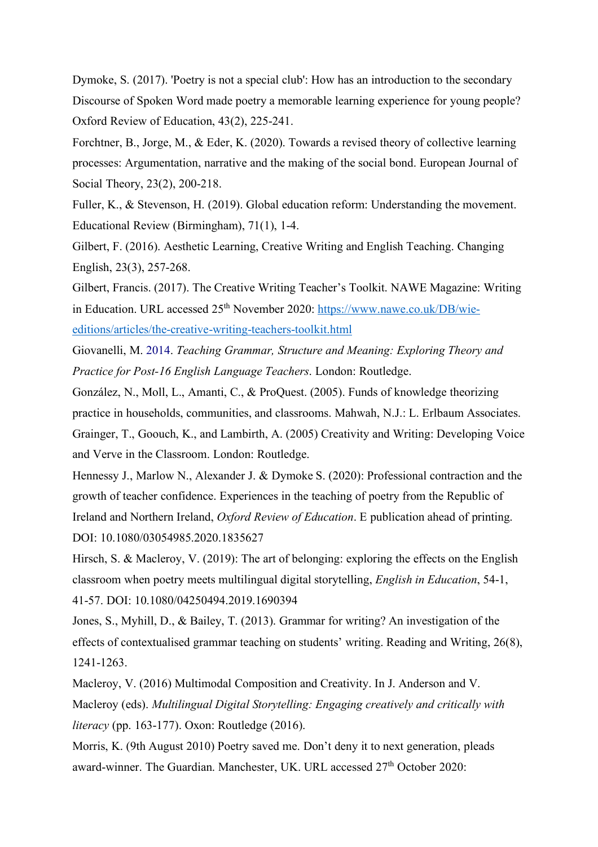Dymoke, S. (2017). 'Poetry is not a special club': How has an introduction to the secondary Discourse of Spoken Word made poetry a memorable learning experience for young people? Oxford Review of Education, 43(2), 225-241.

Forchtner, B., Jorge, M., & Eder, K. (2020). Towards a revised theory of collective learning processes: Argumentation, narrative and the making of the social bond. European Journal of Social Theory, 23(2), 200-218.

Fuller, K., & Stevenson, H. (2019). Global education reform: Understanding the movement. Educational Review (Birmingham), 71(1), 1-4.

Gilbert, F. (2016). Aesthetic Learning, Creative Writing and English Teaching. Changing English, 23(3), 257-268.

Gilbert, Francis. (2017). The Creative Writing Teacher's Toolkit. NAWE Magazine: Writing in Education. URL accessed 25<sup>th</sup> November 2020: https://www.nawe.co.uk/DB/wieeditions/articles/the-creative-writing-teachers-toolkit.html

Giovanelli, M. 2014. *Teaching Grammar, Structure and Meaning: Exploring Theory and Practice for Post-16 English Language Teachers*. London: Routledge.

González, N., Moll, L., Amanti, C., & ProQuest. (2005). Funds of knowledge theorizing practice in households, communities, and classrooms. Mahwah, N.J.: L. Erlbaum Associates. Grainger, T., Goouch, K., and Lambirth, A. (2005) Creativity and Writing: Developing Voice and Verve in the Classroom. London: Routledge.

Hennessy J., Marlow N., Alexander J. & Dymoke S. (2020): Professional contraction and the growth of teacher confidence. Experiences in the teaching of poetry from the Republic of Ireland and Northern Ireland, *Oxford Review of Education*. E publication ahead of printing. DOI: 10.1080/03054985.2020.1835627

Hirsch, S. & Macleroy, V. (2019): The art of belonging: exploring the effects on the English classroom when poetry meets multilingual digital storytelling, *English in Education*, 54-1, 41-57. DOI: 10.1080/04250494.2019.1690394

Jones, S., Myhill, D., & Bailey, T. (2013). Grammar for writing? An investigation of the effects of contextualised grammar teaching on students' writing. Reading and Writing, 26(8), 1241-1263.

Macleroy, V. (2016) Multimodal Composition and Creativity. In J. Anderson and V. Macleroy (eds). *Multilingual Digital Storytelling: Engaging creatively and critically with literacy* (pp. 163-177). Oxon: Routledge (2016).

Morris, K. (9th August 2010) Poetry saved me. Don't deny it to next generation, pleads award-winner. The Guardian. Manchester, UK. URL accessed 27<sup>th</sup> October 2020: